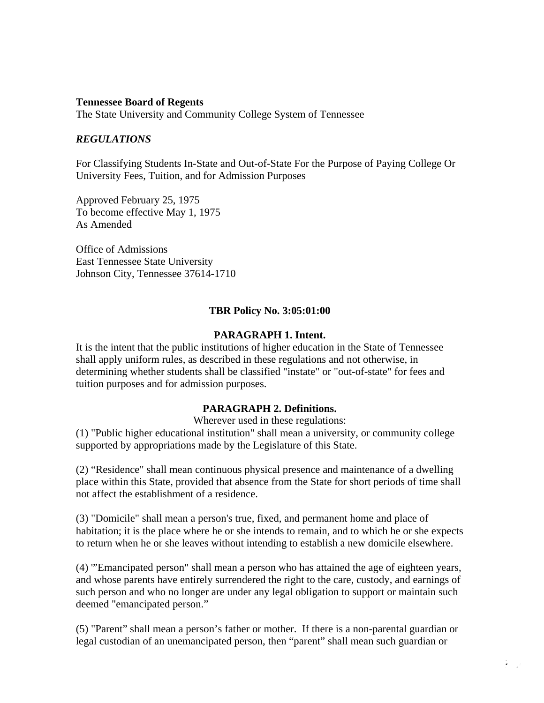#### **Tennessee Board of Regents**

The State University and Community College System of Tennessee

### *REGULATIONS*

For Classifying Students In-State and Out-of-State For the Purpose of Paying College Or University Fees, Tuition, and for Admission Purposes

Approved February 25, 1975 To become effective May 1, 1975 As Amended

Office of Admissions East Tennessee State University Johnson City, Tennessee 37614-1710

## **TBR Policy No. 3:05:01:00**

#### **PARAGRAPH 1. Intent.**

It is the intent that the public institutions of higher education in the State of Tennessee shall apply uniform rules, as described in these regulations and not otherwise, in determining whether students shall be classified "instate" or "out-of-state" for fees and tuition purposes and for admission purposes.

#### **PARAGRAPH 2. Definitions.**

Wherever used in these regulations:

(1) "Public higher educational institution" shall mean a university, or community college supported by appropriations made by the Legislature of this State.

(2) "Residence" shall mean continuous physical presence and maintenance of a dwelling place within this State, provided that absence from the State for short periods of time shall not affect the establishment of a residence.

(3) "Domicile" shall mean a person's true, fixed, and permanent home and place of habitation; it is the place where he or she intends to remain, and to which he or she expects to return when he or she leaves without intending to establish a new domicile elsewhere.

(4) '"Emancipated person" shall mean a person who has attained the age of eighteen years, and whose parents have entirely surrendered the right to the care, custody, and earnings of such person and who no longer are under any legal obligation to support or maintain such deemed "emancipated person."

(5) "Parent" shall mean a person's father or mother. If there is a non-parental guardian or legal custodian of an unemancipated person, then "parent" shall mean such guardian or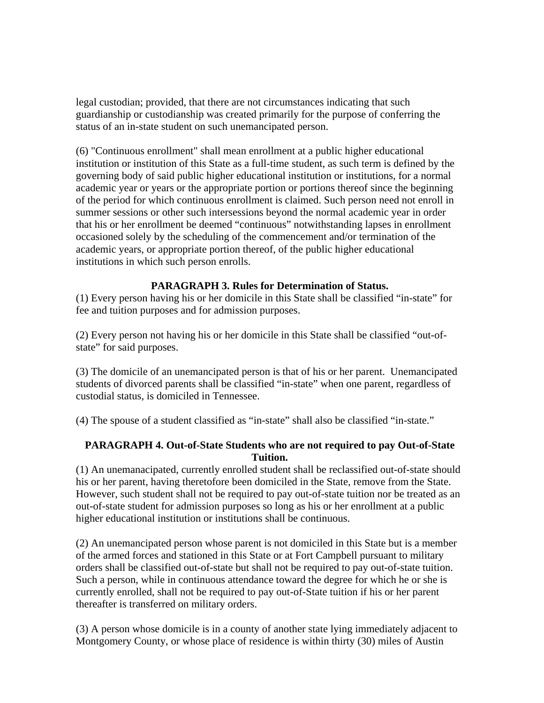legal custodian; provided, that there are not circumstances indicating that such guardianship or custodianship was created primarily for the purpose of conferring the status of an in-state student on such unemancipated person.

(6) "Continuous enrollment" shall mean enrollment at a public higher educational institution or institution of this State as a full-time student, as such term is defined by the governing body of said public higher educational institution or institutions, for a normal academic year or years or the appropriate portion or portions thereof since the beginning of the period for which continuous enrollment is claimed. Such person need not enroll in summer sessions or other such intersessions beyond the normal academic year in order that his or her enrollment be deemed "continuous" notwithstanding lapses in enrollment occasioned solely by the scheduling of the commencement and/or termination of the academic years, or appropriate portion thereof, of the public higher educational institutions in which such person enrolls.

## **PARAGRAPH 3. Rules for Determination of Status.**

(1) Every person having his or her domicile in this State shall be classified "in-state" for fee and tuition purposes and for admission purposes.

(2) Every person not having his or her domicile in this State shall be classified "out-ofstate" for said purposes.

(3) The domicile of an unemancipated person is that of his or her parent. Unemancipated students of divorced parents shall be classified "in-state" when one parent, regardless of custodial status, is domiciled in Tennessee.

(4) The spouse of a student classified as "in-state" shall also be classified "in-state."

## **PARAGRAPH 4. Out-of-State Students who are not required to pay Out-of-State Tuition.**

(1) An unemanacipated, currently enrolled student shall be reclassified out-of-state should his or her parent, having theretofore been domiciled in the State, remove from the State. However, such student shall not be required to pay out-of-state tuition nor be treated as an out-of-state student for admission purposes so long as his or her enrollment at a public higher educational institution or institutions shall be continuous.

(2) An unemancipated person whose parent is not domiciled in this State but is a member of the armed forces and stationed in this State or at Fort Campbell pursuant to military orders shall be classified out-of-state but shall not be required to pay out-of-state tuition. Such a person, while in continuous attendance toward the degree for which he or she is currently enrolled, shall not be required to pay out-of-State tuition if his or her parent thereafter is transferred on military orders.

(3) A person whose domicile is in a county of another state lying immediately adjacent to Montgomery County, or whose place of residence is within thirty (30) miles of Austin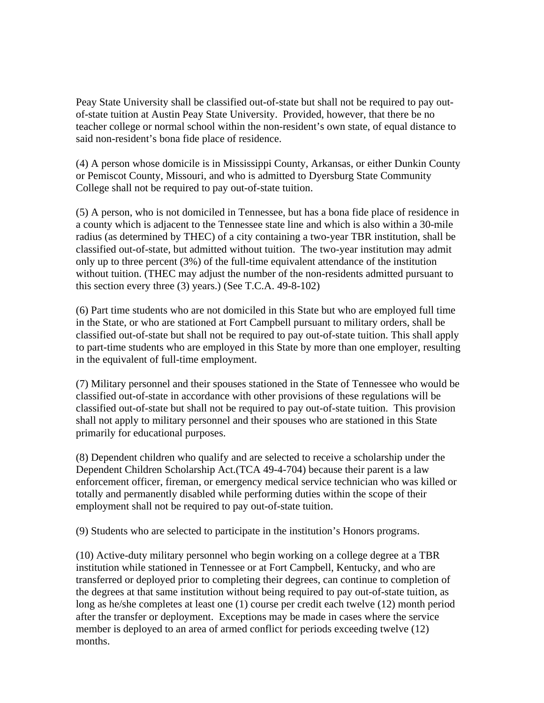Peay State University shall be classified out-of-state but shall not be required to pay outof-state tuition at Austin Peay State University. Provided, however, that there be no teacher college or normal school within the non-resident's own state, of equal distance to said non-resident's bona fide place of residence.

(4) A person whose domicile is in Mississippi County, Arkansas, or either Dunkin County or Pemiscot County, Missouri, and who is admitted to Dyersburg State Community College shall not be required to pay out-of-state tuition.

(5) A person, who is not domiciled in Tennessee, but has a bona fide place of residence in a county which is adjacent to the Tennessee state line and which is also within a 30-mile radius (as determined by THEC) of a city containing a two-year TBR institution, shall be classified out-of-state, but admitted without tuition. The two-year institution may admit only up to three percent (3%) of the full-time equivalent attendance of the institution without tuition. (THEC may adjust the number of the non-residents admitted pursuant to this section every three (3) years.) (See T.C.A. 49-8-102)

(6) Part time students who are not domiciled in this State but who are employed full time in the State, or who are stationed at Fort Campbell pursuant to military orders, shall be classified out-of-state but shall not be required to pay out-of-state tuition. This shall apply to part-time students who are employed in this State by more than one employer, resulting in the equivalent of full-time employment.

(7) Military personnel and their spouses stationed in the State of Tennessee who would be classified out-of-state in accordance with other provisions of these regulations will be classified out-of-state but shall not be required to pay out-of-state tuition. This provision shall not apply to military personnel and their spouses who are stationed in this State primarily for educational purposes.

(8) Dependent children who qualify and are selected to receive a scholarship under the Dependent Children Scholarship Act.(TCA 49-4-704) because their parent is a law enforcement officer, fireman, or emergency medical service technician who was killed or totally and permanently disabled while performing duties within the scope of their employment shall not be required to pay out-of-state tuition.

(9) Students who are selected to participate in the institution's Honors programs.

(10) Active-duty military personnel who begin working on a college degree at a TBR institution while stationed in Tennessee or at Fort Campbell, Kentucky, and who are transferred or deployed prior to completing their degrees, can continue to completion of the degrees at that same institution without being required to pay out-of-state tuition, as long as he/she completes at least one (1) course per credit each twelve (12) month period after the transfer or deployment. Exceptions may be made in cases where the service member is deployed to an area of armed conflict for periods exceeding twelve (12) months.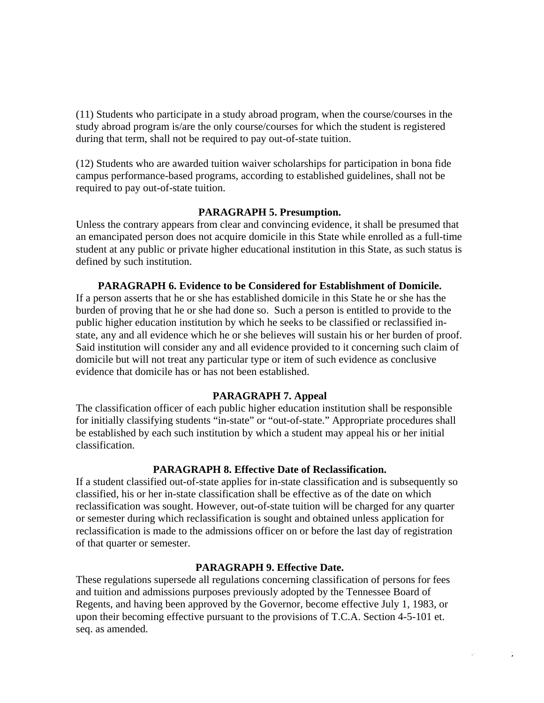(11) Students who participate in a study abroad program, when the course/courses in the study abroad program is/are the only course/courses for which the student is registered during that term, shall not be required to pay out-of-state tuition.

(12) Students who are awarded tuition waiver scholarships for participation in bona fide campus performance-based programs, according to established guidelines, shall not be required to pay out-of-state tuition.

#### **PARAGRAPH 5. Presumption.**

Unless the contrary appears from clear and convincing evidence, it shall be presumed that an emancipated person does not acquire domicile in this State while enrolled as a full-time student at any public or private higher educational institution in this State, as such status is defined by such institution.

**PARAGRAPH 6. Evidence to be Considered for Establishment of Domicile.** 

If a person asserts that he or she has established domicile in this State he or she has the burden of proving that he or she had done so. Such a person is entitled to provide to the public higher education institution by which he seeks to be classified or reclassified instate, any and all evidence which he or she believes will sustain his or her burden of proof. Said institution will consider any and all evidence provided to it concerning such claim of domicile but will not treat any particular type or item of such evidence as conclusive evidence that domicile has or has not been established.

#### **PARAGRAPH 7. Appeal**

The classification officer of each public higher education institution shall be responsible for initially classifying students "in-state" or "out-of-state." Appropriate procedures shall be established by each such institution by which a student may appeal his or her initial classification.

# **PARAGRAPH 8. Effective Date of Reclassification.**

If a student classified out-of-state applies for in-state classification and is subsequently so classified, his or her in-state classification shall be effective as of the date on which reclassification was sought. However, out-of-state tuition will be charged for any quarter or semester during which reclassification is sought and obtained unless application for reclassification is made to the admissions officer on or before the last day of registration of that quarter or semester.

#### **PARAGRAPH 9. Effective Date.**

These regulations supersede all regulations concerning classification of persons for fees and tuition and admissions purposes previously adopted by the Tennessee Board of Regents, and having been approved by the Governor, become effective July 1, 1983, or upon their becoming effective pursuant to the provisions of T.C.A. Section 4-5-101 et. seq. as amended.